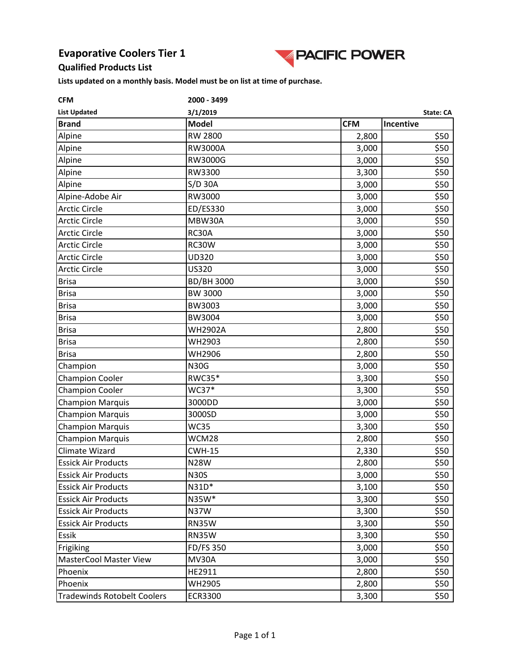

#### **Qualified Products List**

| <b>CFM</b>                         | 2000 - 3499           |            |           |  |
|------------------------------------|-----------------------|------------|-----------|--|
| <b>List Updated</b>                | 3/1/2019<br>State: CA |            |           |  |
| <b>Brand</b>                       | <b>Model</b>          | <b>CFM</b> | Incentive |  |
| Alpine                             | <b>RW 2800</b>        | 2,800      | \$50      |  |
| Alpine                             | <b>RW3000A</b>        | 3,000      | \$50      |  |
| Alpine                             | RW3000G               | 3,000      | \$50      |  |
| Alpine                             | RW3300                | 3,300      | \$50      |  |
| Alpine                             | $S/D$ 30A             | 3,000      | \$50      |  |
| Alpine-Adobe Air                   | RW3000                | 3,000      | \$50      |  |
| <b>Arctic Circle</b>               | ED/ES330              | 3,000      | \$50      |  |
| <b>Arctic Circle</b>               | MBW30A                | 3,000      | \$50      |  |
| <b>Arctic Circle</b>               | RC30A                 | 3,000      | \$50      |  |
| <b>Arctic Circle</b>               | RC30W                 | 3,000      | \$50      |  |
| <b>Arctic Circle</b>               | UD320                 | 3,000      | \$50      |  |
| <b>Arctic Circle</b>               | <b>US320</b>          | 3,000      | \$50      |  |
| <b>Brisa</b>                       | <b>BD/BH 3000</b>     | 3,000      | \$50      |  |
| <b>Brisa</b>                       | <b>BW 3000</b>        | 3,000      | \$50      |  |
| <b>Brisa</b>                       | BW3003                | 3,000      | \$50      |  |
| <b>Brisa</b>                       | BW3004                | 3,000      | \$50      |  |
| <b>Brisa</b>                       | <b>WH2902A</b>        | 2,800      | \$50      |  |
| <b>Brisa</b>                       | WH2903                | 2,800      | \$50      |  |
| <b>Brisa</b>                       | WH2906                | 2,800      | \$50      |  |
| Champion                           | <b>N30G</b>           | 3,000      | \$50      |  |
| <b>Champion Cooler</b>             | <b>RWC35*</b>         | 3,300      | \$50      |  |
| <b>Champion Cooler</b>             | WC37*                 | 3,300      | \$50      |  |
| <b>Champion Marquis</b>            | 3000DD                | 3,000      | \$50      |  |
| <b>Champion Marquis</b>            | 3000SD                | 3,000      | \$50      |  |
| <b>Champion Marquis</b>            | <b>WC35</b>           | 3,300      | \$50      |  |
| <b>Champion Marquis</b>            | WCM28                 | 2,800      | \$50      |  |
| Climate Wizard                     | <b>CWH-15</b>         | 2,330      | \$50      |  |
| <b>Essick Air Products</b>         | <b>N28W</b>           | 2,800      | \$50      |  |
| <b>Essick Air Products</b>         | <b>N30S</b>           | 3,000      | \$50      |  |
| <b>Essick Air Products</b>         | N31D*                 | 3,100      | \$50      |  |
| <b>Essick Air Products</b>         | N35W*                 | 3,300      | \$50      |  |
| <b>Essick Air Products</b>         | <b>N37W</b>           | 3,300      | \$50      |  |
| <b>Essick Air Products</b>         | <b>RN35W</b>          | 3,300      | \$50      |  |
| Essik                              | RN35W                 | 3,300      | \$50      |  |
| Frigiking                          | FD/FS 350             | 3,000      | \$50      |  |
| <b>MasterCool Master View</b>      | MV30A                 | 3,000      | \$50      |  |
| Phoenix                            | HE2911                | 2,800      | \$50      |  |
| Phoenix                            | <b>WH2905</b>         | 2,800      | \$50      |  |
| <b>Tradewinds Rotobelt Coolers</b> | <b>ECR3300</b>        | 3,300      | \$50      |  |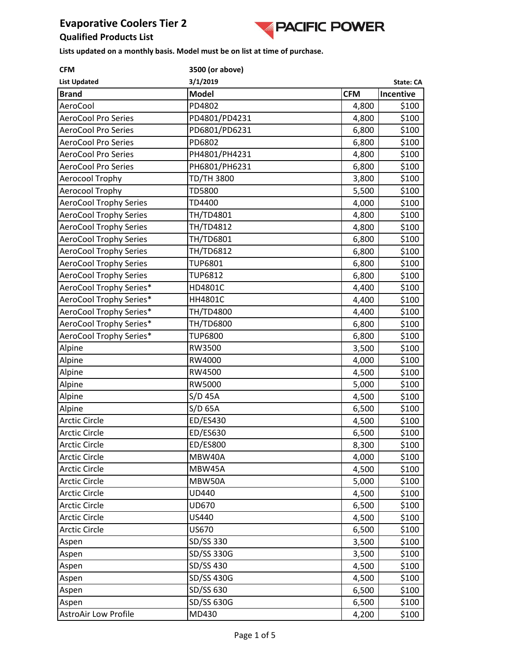

#### **Qualified Products List**

| <b>CFM</b>                    | 3500 (or above) |            |           |
|-------------------------------|-----------------|------------|-----------|
| <b>List Updated</b>           | 3/1/2019        |            | State: CA |
| <b>Brand</b>                  | <b>Model</b>    | <b>CFM</b> | Incentive |
| AeroCool                      | PD4802          | 4,800      | \$100     |
| <b>AeroCool Pro Series</b>    | PD4801/PD4231   | 4,800      | \$100     |
| <b>AeroCool Pro Series</b>    | PD6801/PD6231   | 6,800      | \$100     |
| <b>AeroCool Pro Series</b>    | PD6802          | 6,800      | \$100     |
| <b>AeroCool Pro Series</b>    | PH4801/PH4231   | 4,800      | \$100     |
| <b>AeroCool Pro Series</b>    | PH6801/PH6231   | 6,800      | \$100     |
| Aerocool Trophy               | TD/TH 3800      | 3,800      | \$100     |
| Aerocool Trophy               | <b>TD5800</b>   | 5,500      | \$100     |
| <b>AeroCool Trophy Series</b> | TD4400          | 4,000      | \$100     |
| <b>AeroCool Trophy Series</b> | TH/TD4801       | 4,800      | \$100     |
| <b>AeroCool Trophy Series</b> | TH/TD4812       | 4,800      | \$100     |
| <b>AeroCool Trophy Series</b> | TH/TD6801       | 6,800      | \$100     |
| <b>AeroCool Trophy Series</b> | TH/TD6812       | 6,800      | \$100     |
| <b>AeroCool Trophy Series</b> | <b>TUP6801</b>  | 6,800      | \$100     |
| <b>AeroCool Trophy Series</b> | <b>TUP6812</b>  | 6,800      | \$100     |
| AeroCool Trophy Series*       | HD4801C         | 4,400      | \$100     |
| AeroCool Trophy Series*       | HH4801C         | 4,400      | \$100     |
| AeroCool Trophy Series*       | TH/TD4800       | 4,400      | \$100     |
| AeroCool Trophy Series*       | TH/TD6800       | 6,800      | \$100     |
| AeroCool Trophy Series*       | <b>TUP6800</b>  | 6,800      | \$100     |
| Alpine                        | RW3500          | 3,500      | \$100     |
| Alpine                        | RW4000          | 4,000      | \$100     |
| Alpine                        | RW4500          | 4,500      | \$100     |
| Alpine                        | RW5000          | 5,000      | \$100     |
| Alpine                        | $S/D$ 45A       | 4,500      | \$100     |
| Alpine                        | $S/D$ 65A       | 6,500      | \$100     |
| <b>Arctic Circle</b>          | ED/ES430        | 4,500      | \$100     |
| <b>Arctic Circle</b>          | ED/ES630        | 6,500      | \$100     |
| Arctic Circle                 | ED/ES800        | 8,300      | \$100     |
| <b>Arctic Circle</b>          | MBW40A          | 4,000      | \$100     |
| <b>Arctic Circle</b>          | MBW45A          | 4,500      | \$100     |
| <b>Arctic Circle</b>          | MBW50A          | 5,000      | \$100     |
| <b>Arctic Circle</b>          | UD440           | 4,500      | \$100     |
| <b>Arctic Circle</b>          | UD670           | 6,500      | \$100     |
| <b>Arctic Circle</b>          | US440           | 4,500      | \$100     |
| <b>Arctic Circle</b>          | US670           | 6,500      | \$100     |
| Aspen                         | SD/SS 330       | 3,500      | \$100     |
| Aspen                         | SD/SS 330G      | 3,500      | \$100     |
| Aspen                         | SD/SS 430       | 4,500      | \$100     |
| Aspen                         | SD/SS 430G      | 4,500      | \$100     |
| Aspen                         | SD/SS 630       | 6,500      | \$100     |
| Aspen                         | SD/SS 630G      | 6,500      | \$100     |
| <b>AstroAir Low Profile</b>   | MD430           | 4,200      | \$100     |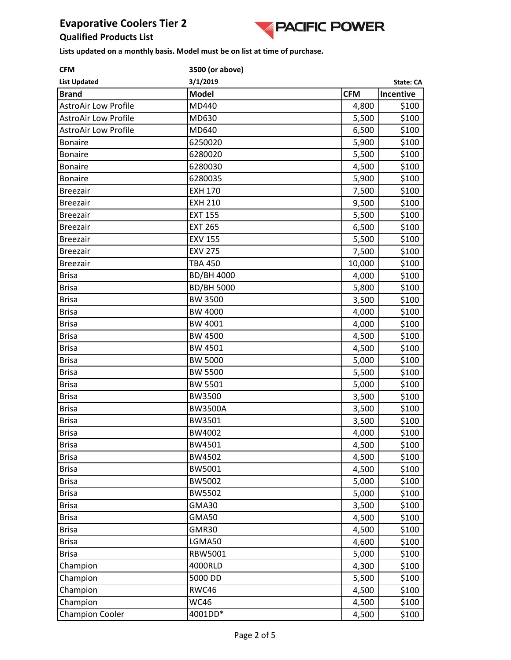

## **Qualified Products List**

| <b>CFM</b>                  | 3500 (or above)   |            |           |
|-----------------------------|-------------------|------------|-----------|
| <b>List Updated</b>         | 3/1/2019          |            | State: CA |
| <b>Brand</b>                | <b>Model</b>      | <b>CFM</b> | Incentive |
| <b>AstroAir Low Profile</b> | MD440             | 4,800      | \$100     |
| <b>AstroAir Low Profile</b> | MD630             | 5,500      | \$100     |
| <b>AstroAir Low Profile</b> | MD640             | 6,500      | \$100     |
| <b>Bonaire</b>              | 6250020           | 5,900      | \$100     |
| <b>Bonaire</b>              | 6280020           | 5,500      | \$100     |
| <b>Bonaire</b>              | 6280030           | 4,500      | \$100     |
| <b>Bonaire</b>              | 6280035           | 5,900      | \$100     |
| <b>Breezair</b>             | <b>EXH 170</b>    | 7,500      | \$100     |
| <b>Breezair</b>             | <b>EXH 210</b>    | 9,500      | \$100     |
| <b>Breezair</b>             | <b>EXT 155</b>    | 5,500      | \$100     |
| <b>Breezair</b>             | <b>EXT 265</b>    | 6,500      | \$100     |
| <b>Breezair</b>             | <b>EXV 155</b>    | 5,500      | \$100     |
| <b>Breezair</b>             | <b>EXV 275</b>    | 7,500      | \$100     |
| <b>Breezair</b>             | <b>TBA 450</b>    | 10,000     | \$100     |
| <b>Brisa</b>                | <b>BD/BH 4000</b> | 4,000      | \$100     |
| <b>Brisa</b>                | <b>BD/BH 5000</b> | 5,800      | \$100     |
| <b>Brisa</b>                | <b>BW 3500</b>    | 3,500      | \$100     |
| <b>Brisa</b>                | <b>BW 4000</b>    | 4,000      | \$100     |
| <b>Brisa</b>                | BW 4001           | 4,000      | \$100     |
| <b>Brisa</b>                | <b>BW 4500</b>    | 4,500      | \$100     |
| <b>Brisa</b>                | <b>BW 4501</b>    | 4,500      | \$100     |
| <b>Brisa</b>                | <b>BW 5000</b>    | 5,000      | \$100     |
| <b>Brisa</b>                | <b>BW 5500</b>    | 5,500      | \$100     |
| <b>Brisa</b>                | <b>BW 5501</b>    | 5,000      | \$100     |
| <b>Brisa</b>                | <b>BW3500</b>     | 3,500      | \$100     |
| <b>Brisa</b>                | <b>BW3500A</b>    | 3,500      | \$100     |
| <b>Brisa</b>                | BW3501            | 3,500      | \$100     |
| <b>Brisa</b>                | BW4002            | 4,000      | \$100     |
| <b>Brisa</b>                | BW4501            | 4,500      | \$100     |
| <b>Brisa</b>                | BW4502            | 4,500      | \$100     |
| <b>Brisa</b>                | BW5001            | 4,500      | \$100     |
| <b>Brisa</b>                | BW5002            | 5,000      | \$100     |
| <b>Brisa</b>                | BW5502            | 5,000      | \$100     |
| <b>Brisa</b>                | GMA30             | 3,500      | \$100     |
| <b>Brisa</b>                | <b>GMA50</b>      | 4,500      | \$100     |
| <b>Brisa</b>                | GMR30             | 4,500      | \$100     |
| <b>Brisa</b>                | LGMA50            | 4,600      | \$100     |
| <b>Brisa</b>                | RBW5001           | 5,000      | \$100     |
| Champion                    | 4000RLD           | 4,300      | \$100     |
| Champion                    | 5000 DD           | 5,500      | \$100     |
| Champion                    | RWC46             | 4,500      | \$100     |
| Champion                    | <b>WC46</b>       | 4,500      | \$100     |
| <b>Champion Cooler</b>      | 4001DD*           | 4,500      | \$100     |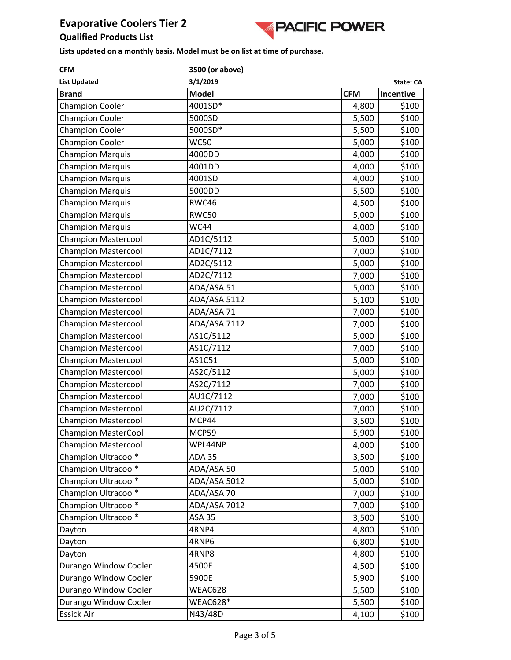

**Qualified Products List Lists updated on a monthly basis. Model must be on list at time of purchase.**

| <b>CFM</b>                 |               | 3500 (or above) |           |  |  |
|----------------------------|---------------|-----------------|-----------|--|--|
| <b>List Updated</b>        |               | State: CA       |           |  |  |
| <b>Brand</b>               | <b>Model</b>  | <b>CFM</b>      | Incentive |  |  |
| <b>Champion Cooler</b>     | 4001SD*       | 4,800           | \$100     |  |  |
| <b>Champion Cooler</b>     | 5000SD        | 5,500           | \$100     |  |  |
| <b>Champion Cooler</b>     | 5000SD*       | 5,500           | \$100     |  |  |
| <b>Champion Cooler</b>     | <b>WC50</b>   | 5,000           | \$100     |  |  |
| <b>Champion Marquis</b>    | 4000DD        | 4,000           | \$100     |  |  |
| <b>Champion Marquis</b>    | 4001DD        | 4,000           | \$100     |  |  |
| <b>Champion Marquis</b>    | 4001SD        | 4,000           | \$100     |  |  |
| <b>Champion Marquis</b>    | 5000DD        | 5,500           | \$100     |  |  |
| <b>Champion Marquis</b>    | RWC46         | 4,500           | \$100     |  |  |
| <b>Champion Marquis</b>    | <b>RWC50</b>  | 5,000           | \$100     |  |  |
| <b>Champion Marquis</b>    | <b>WC44</b>   | 4,000           | \$100     |  |  |
| <b>Champion Mastercool</b> | AD1C/5112     | 5,000           | \$100     |  |  |
| <b>Champion Mastercool</b> | AD1C/7112     | 7,000           | \$100     |  |  |
| <b>Champion Mastercool</b> | AD2C/5112     | 5,000           | \$100     |  |  |
| <b>Champion Mastercool</b> | AD2C/7112     | 7,000           | \$100     |  |  |
| <b>Champion Mastercool</b> | ADA/ASA 51    | 5,000           | \$100     |  |  |
| <b>Champion Mastercool</b> | ADA/ASA 5112  | 5,100           | \$100     |  |  |
| <b>Champion Mastercool</b> | ADA/ASA 71    | 7,000           | \$100     |  |  |
| <b>Champion Mastercool</b> | ADA/ASA 7112  | 7,000           | \$100     |  |  |
| <b>Champion Mastercool</b> | AS1C/5112     | 5,000           | \$100     |  |  |
| <b>Champion Mastercool</b> | AS1C/7112     | 7,000           | \$100     |  |  |
| <b>Champion Mastercool</b> | AS1C51        | 5,000           | \$100     |  |  |
| <b>Champion Mastercool</b> | AS2C/5112     | 5,000           | \$100     |  |  |
| <b>Champion Mastercool</b> | AS2C/7112     | 7,000           | \$100     |  |  |
| <b>Champion Mastercool</b> | AU1C/7112     | 7,000           | \$100     |  |  |
| <b>Champion Mastercool</b> | AU2C/7112     | 7,000           | \$100     |  |  |
| <b>Champion Mastercool</b> | MCP44         | 3,500           | \$100     |  |  |
| <b>Champion MasterCool</b> | MCP59         | 5,900           | \$100     |  |  |
| <b>Champion Mastercool</b> | WPL44NP       | 4,000           | \$100     |  |  |
| Champion Ultracool*        | ADA 35        | 3,500           | \$100     |  |  |
| Champion Ultracool*        | ADA/ASA 50    | 5,000           | \$100     |  |  |
| Champion Ultracool*        | ADA/ASA 5012  | 5,000           | \$100     |  |  |
| Champion Ultracool*        | ADA/ASA 70    | 7,000           | \$100     |  |  |
| Champion Ultracool*        | ADA/ASA 7012  | 7,000           | \$100     |  |  |
| Champion Ultracool*        | <b>ASA 35</b> | 3,500           | \$100     |  |  |
| Dayton                     | 4RNP4         | 4,800           | \$100     |  |  |
| Dayton                     | 4RNP6         | 6,800           | \$100     |  |  |
| Dayton                     | 4RNP8         | 4,800           | \$100     |  |  |
| Durango Window Cooler      | 4500E         | 4,500           | \$100     |  |  |
| Durango Window Cooler      | 5900E         | 5,900           | \$100     |  |  |
| Durango Window Cooler      | WEAC628       | 5,500           | \$100     |  |  |
| Durango Window Cooler      | WEAC628*      | 5,500           | \$100     |  |  |
| <b>Essick Air</b>          | N43/48D       | 4,100           | \$100     |  |  |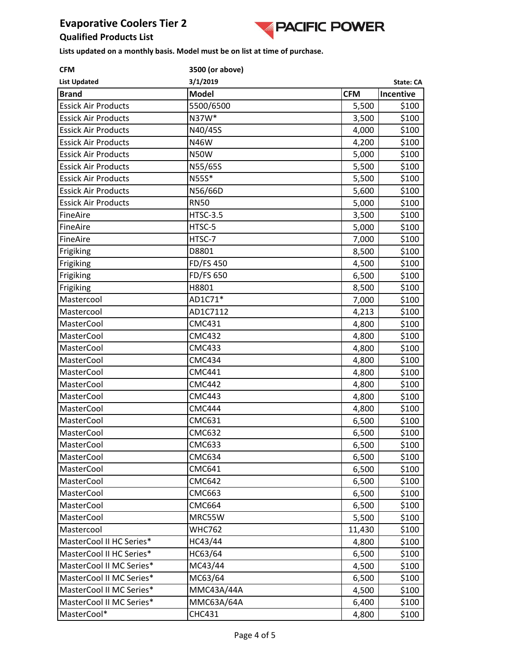

#### **Qualified Products List**

| <b>CFM</b>                 | 3500 (or above)  |            |           |
|----------------------------|------------------|------------|-----------|
| <b>List Updated</b>        | 3/1/2019         |            | State: CA |
| <b>Brand</b>               | <b>Model</b>     | <b>CFM</b> | Incentive |
| <b>Essick Air Products</b> | 5500/6500        | 5,500      | \$100     |
| <b>Essick Air Products</b> | N37W*            | 3,500      | \$100     |
| <b>Essick Air Products</b> | N40/45S          | 4,000      | \$100     |
| <b>Essick Air Products</b> | N46W             | 4,200      | \$100     |
| <b>Essick Air Products</b> | <b>N50W</b>      | 5,000      | \$100     |
| <b>Essick Air Products</b> | N55/65S          | 5,500      | \$100     |
| <b>Essick Air Products</b> | N55S*            | 5,500      | \$100     |
| <b>Essick Air Products</b> | N56/66D          | 5,600      | \$100     |
| <b>Essick Air Products</b> | <b>RN50</b>      | 5,000      | \$100     |
| FineAire                   | <b>HTSC-3.5</b>  | 3,500      | \$100     |
| FineAire                   | HTSC-5           | 5,000      | \$100     |
| FineAire                   | HTSC-7           | 7,000      | \$100     |
| Frigiking                  | D8801            | 8,500      | \$100     |
| Frigiking                  | <b>FD/FS 450</b> | 4,500      | \$100     |
| Frigiking                  | FD/FS 650        | 6,500      | \$100     |
| Frigiking                  | H8801            | 8,500      | \$100     |
| Mastercool                 | AD1C71*          | 7,000      | \$100     |
| Mastercool                 | AD1C7112         | 4,213      | \$100     |
| <b>MasterCool</b>          | <b>CMC431</b>    | 4,800      | \$100     |
| MasterCool                 | <b>CMC432</b>    | 4,800      | \$100     |
| <b>MasterCool</b>          | <b>CMC433</b>    | 4,800      | \$100     |
| <b>MasterCool</b>          | <b>CMC434</b>    | 4,800      | \$100     |
| <b>MasterCool</b>          | <b>CMC441</b>    | 4,800      | \$100     |
| MasterCool                 | <b>CMC442</b>    | 4,800      | \$100     |
| <b>MasterCool</b>          | <b>CMC443</b>    | 4,800      | \$100     |
| <b>MasterCool</b>          | <b>CMC444</b>    | 4,800      | \$100     |
| MasterCool                 | <b>CMC631</b>    | 6,500      | \$100     |
| MasterCool                 | <b>CMC632</b>    | 6,500      | \$100     |
| MasterCool                 | <b>CMC633</b>    | 6,500      | \$100     |
| MasterCool                 | <b>CMC634</b>    | 6,500      | \$100     |
| <b>MasterCool</b>          | <b>CMC641</b>    | 6,500      | \$100     |
| MasterCool                 | <b>CMC642</b>    | 6,500      | \$100     |
| MasterCool                 | <b>CMC663</b>    | 6,500      | \$100     |
| MasterCool                 | <b>CMC664</b>    | 6,500      | \$100     |
| MasterCool                 | MRC55W           | 5,500      | \$100     |
| Mastercool                 | <b>WHC762</b>    | 11,430     | \$100     |
| MasterCool II HC Series*   | HC43/44          | 4,800      | \$100     |
| MasterCool II HC Series*   | HC63/64          | 6,500      | \$100     |
| MasterCool II MC Series*   | MC43/44          | 4,500      | \$100     |
| MasterCool II MC Series*   | MC63/64          | 6,500      | \$100     |
| MasterCool II MC Series*   | MMC43A/44A       | 4,500      | \$100     |
| MasterCool II MC Series*   | MMC63A/64A       | 6,400      | \$100     |
| MasterCool*                | <b>CHC431</b>    | 4,800      | \$100     |